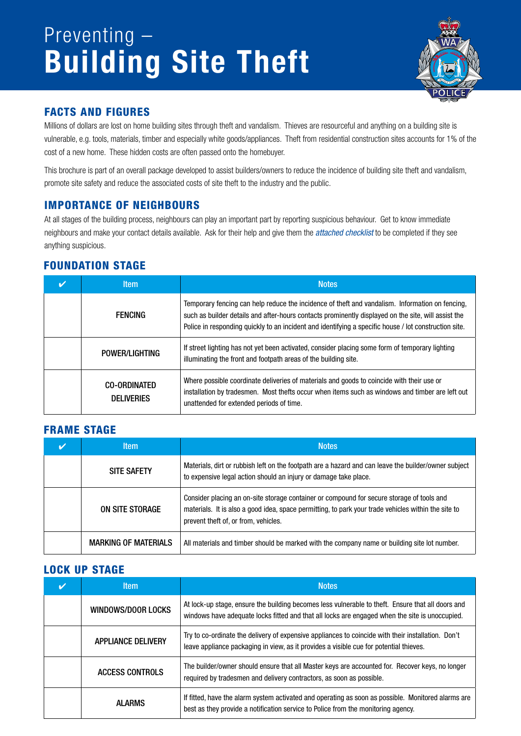## Preventing – Building Site Theft



#### Facts and Figures

Millions of dollars are lost on home building sites through theft and vandalism. Thieves are resourceful and anything on a building site is vulnerable, e.g. tools, materials, timber and especially white goods/appliances. Theft from residential construction sites accounts for 1% of the cost of a new home. These hidden costs are often passed onto the homebuyer.

This brochure is part of an overall package developed to assist builders/owners to reduce the incidence of building site theft and vandalism, promote site safety and reduce the associated costs of site theft to the industry and the public.

#### IMPORTANCE OF NEIGHBOURS

At all stages of the building process, neighbours can play an important part by reporting suspicious behaviour. Get to know immediate neighbours and make your contact details available. Ask for their help and give them the *attached checklist* to be completed if they see anything suspicious.

#### FOUNDATION STAGE

| <b>Item</b>                              | <b>Notes</b>                                                                                                                                                                                                                                                                                                    |
|------------------------------------------|-----------------------------------------------------------------------------------------------------------------------------------------------------------------------------------------------------------------------------------------------------------------------------------------------------------------|
| FFNCING                                  | Temporary fencing can help reduce the incidence of theft and vandalism. Information on fencing,<br>such as builder details and after-hours contacts prominently displayed on the site, will assist the<br>Police in responding quickly to an incident and identifying a specific house / lot construction site. |
| POWER/LIGHTING                           | If street lighting has not yet been activated, consider placing some form of temporary lighting<br>illuminating the front and footpath areas of the building site.                                                                                                                                              |
| <b>CO-ORDINATED</b><br><b>DELIVERIES</b> | Where possible coordinate deliveries of materials and goods to coincide with their use or<br>installation by tradesmen. Most thefts occur when items such as windows and timber are left out<br>unattended for extended periods of time.                                                                        |

#### FRAME STAGE

| <b>Item</b>                 | <b>Notes</b>                                                                                                                                                                                                                             |
|-----------------------------|------------------------------------------------------------------------------------------------------------------------------------------------------------------------------------------------------------------------------------------|
| <b>SITE SAFETY</b>          | Materials, dirt or rubbish left on the footpath are a hazard and can leave the builder/owner subject<br>to expensive legal action should an injury or damage take place.                                                                 |
| ON SITE STORAGE             | Consider placing an on-site storage container or compound for secure storage of tools and<br>materials. It is also a good idea, space permitting, to park your trade vehicles within the site to<br>prevent theft of, or from, vehicles. |
| <b>MARKING OF MATERIALS</b> | All materials and timber should be marked with the company name or building site lot number.                                                                                                                                             |

#### LOCK UP STAGE

| <b>Item</b>               | <b>Notes</b>                                                                                                                                                                                        |
|---------------------------|-----------------------------------------------------------------------------------------------------------------------------------------------------------------------------------------------------|
| WINDOWS/DOOR LOCKS        | At lock-up stage, ensure the building becomes less vulnerable to theft. Ensure that all doors and<br>windows have adequate locks fitted and that all locks are engaged when the site is unoccupied. |
| <b>APPLIANCE DELIVERY</b> | Try to co-ordinate the delivery of expensive appliances to coincide with their installation. Don't<br>leave appliance packaging in view, as it provides a visible cue for potential thieves.        |
| ACCESS CONTROLS           | The builder/owner should ensure that all Master keys are accounted for. Recover keys, no longer<br>required by tradesmen and delivery contractors, as soon as possible.                             |
| AI ARMS                   | If fitted, have the alarm system activated and operating as soon as possible. Monitored alarms are<br>best as they provide a notification service to Police from the monitoring agency.             |